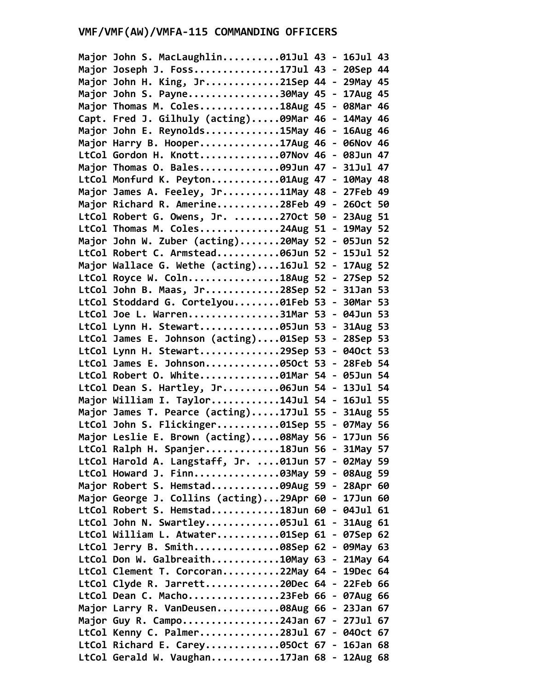| Major John S. MacLaughlin01Jul 43 - 16Jul 43        |  |  |
|-----------------------------------------------------|--|--|
| Major Joseph J. Foss17Jul 43 - 20Sep 44             |  |  |
| Major John H. King, Jr21Sep 44 - 29May 45           |  |  |
| Major John S. Payne30May 45 - 17Aug 45              |  |  |
| Major Thomas M. Coles18Aug 45 - 08Mar 46            |  |  |
| Capt. Fred J. Gilhuly (acting)09Mar 46 - 14May 46   |  |  |
| Major John E. Reynolds15May 46 - 16Aug 46           |  |  |
| Major Harry B. Hooper17Aug 46 - 06Nov 46            |  |  |
| LtCol Gordon H. Knott07Nov 46 - 08Jun 47            |  |  |
| Major Thomas O. Bales09Jun 47 - 31Jul 47            |  |  |
| LtCol Monfurd K. Peyton01Aug 47 - 10May 48          |  |  |
| Major James A. Feeley, Jr11May 48 - 27Feb 49        |  |  |
| Major Richard R. Amerine28Feb 49 - 260ct 50         |  |  |
| LtCol Robert G. Owens, Jr. 270ct 50 - 23Aug 51      |  |  |
| LtCol Thomas M. Coles24Aug 51 - 19May 52            |  |  |
| Major John W. Zuber (acting)20May 52 - 05Jun 52     |  |  |
| LtCol Robert C. Armstead06Jun 52 - 15Jul 52         |  |  |
| Major Wallace G. Wethe (acting)16Jul 52 - 17Aug 52  |  |  |
| LtCol Royce W. Coln18Aug 52 - 27Sep 52              |  |  |
| LtCol John B. Maas, Jr28Sep 52 - 31Jan 53           |  |  |
| LtCol Stoddard G. Cortelyou01Feb 53 - 30Mar 53      |  |  |
| LtCol Joe L. Warren31Mar 53 - 04Jun 53              |  |  |
| LtCol Lynn H. Stewart05Jun 53 - 31Aug 53            |  |  |
| LtCol James E. Johnson (acting)01Sep 53 - 28Sep 53  |  |  |
| LtCol Lynn H. Stewart29Sep 53 - 040ct 53            |  |  |
| LtCol James E. Johnson050ct 53 - 28Feb 54           |  |  |
| LtCol Robert O. White01Mar 54 - 05Jun 54            |  |  |
| LtCol Dean S. Hartley, Jr06Jun 54 - 13Jul 54        |  |  |
| Major William I. Taylor14Jul 54 - 16Jul 55          |  |  |
| Major James T. Pearce (acting)17Jul 55 - 31Aug 55   |  |  |
| LtCol John S. Flickinger01Sep 55 - 07May 56         |  |  |
| Major Leslie E. Brown (acting)08May 56 - 17Jun 56   |  |  |
| LtCol Ralph H. Spanjer18Jun 56 - 31May 57           |  |  |
| LtCol Harold A. Langstaff, Jr. 01Jun 57 - 02May 59  |  |  |
| LtCol Howard J. Finn03May 59 - 08Aug 59             |  |  |
| Major Robert S. Hemstad09Aug 59 - 28Apr 60          |  |  |
| Major George J. Collins (acting)29Apr 60 - 17Jun 60 |  |  |
| LtCol Robert S. Hemstad18Jun 60 - 04Jul 61          |  |  |
| LtCol John N. Swartley05Jul 61 - 31Aug 61           |  |  |
|                                                     |  |  |
| LtCol William L. Atwater01Sep 61 - 07Sep 62         |  |  |
| LtCol Jerry B. Smith08Sep 62 - 09May 63             |  |  |
| LtCol Don W. Galbreaith10May 63 - 21May 64          |  |  |
| LtCol Clement T. Corcoran22May 64 - 19Dec 64        |  |  |
| LtCol Clyde R. Jarrett20Dec 64 - 22Feb 66           |  |  |
| LtCol Dean C. Macho23Feb 66 - 07Aug 66              |  |  |
| Major Larry R. VanDeusen08Aug 66 - 23Jan 67         |  |  |
| Major Guy R. Campo24Jan 67 - 27Jul 67               |  |  |
| LtCol Kenny C. Palmer28Jul 67 - 040ct 67            |  |  |
| LtCol Richard E. Carey050ct 67 - 16Jan 68           |  |  |
| LtCol Gerald W. Vaughan17Jan 68 - 12Aug 68          |  |  |